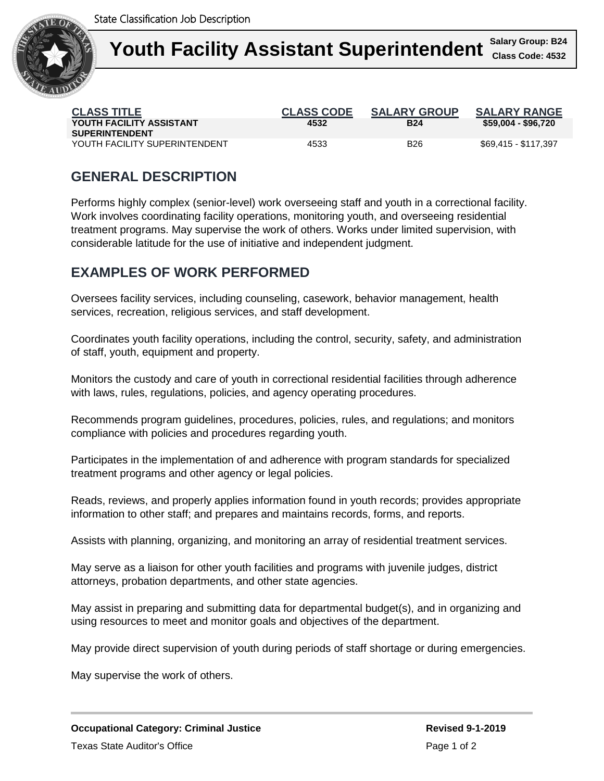

| <b>CLASS TITLE</b><br>YOUTH FACILITY ASSISTANT<br><b>SUPERINTENDENT</b> | <b>CLASS CODE</b><br>4532 | <b>SALARY GROUP</b><br><b>B24</b> | <b>SALARY RANGE</b><br>\$59,004 - \$96,720 |
|-------------------------------------------------------------------------|---------------------------|-----------------------------------|--------------------------------------------|
| YOUTH FACILITY SUPERINTENDENT                                           | 4533                      | <b>B26</b>                        | \$69,415 - \$117,397                       |

# **GENERAL DESCRIPTION**

Performs highly complex (senior-level) work overseeing staff and youth in a correctional facility. Work involves coordinating facility operations, monitoring youth, and overseeing residential treatment programs. May supervise the work of others. Works under limited supervision, with considerable latitude for the use of initiative and independent judgment.

## **EXAMPLES OF WORK PERFORMED**

Oversees facility services, including counseling, casework, behavior management, health services, recreation, religious services, and staff development.

Coordinates youth facility operations, including the control, security, safety, and administration of staff, youth, equipment and property.

Monitors the custody and care of youth in correctional residential facilities through adherence with laws, rules, regulations, policies, and agency operating procedures.

Recommends program guidelines, procedures, policies, rules, and regulations; and monitors compliance with policies and procedures regarding youth.

Participates in the implementation of and adherence with program standards for specialized treatment programs and other agency or legal policies.

Reads, reviews, and properly applies information found in youth records; provides appropriate information to other staff; and prepares and maintains records, forms, and reports.

Assists with planning, organizing, and monitoring an array of residential treatment services.

May serve as a liaison for other youth facilities and programs with juvenile judges, district attorneys, probation departments, and other state agencies.

May assist in preparing and submitting data for departmental budget(s), and in organizing and using resources to meet and monitor goals and objectives of the department.

May provide direct supervision of youth during periods of staff shortage or during emergencies.

May supervise the work of others.